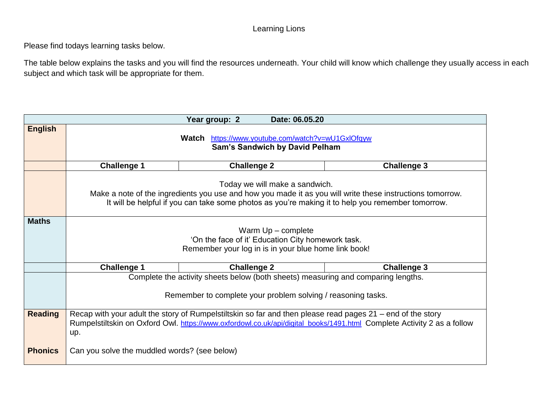#### Learning Lions

Please find todays learning tasks below.

The table below explains the tasks and you will find the resources underneath. Your child will know which challenge they usually access in each subject and which task will be appropriate for them.

| Date: 06.05.20<br>Year group: 2 |                                                                                                                                             |                                                   |                    |  |  |  |  |  |
|---------------------------------|---------------------------------------------------------------------------------------------------------------------------------------------|---------------------------------------------------|--------------------|--|--|--|--|--|
| <b>English</b>                  |                                                                                                                                             |                                                   |                    |  |  |  |  |  |
|                                 |                                                                                                                                             | Watch https://www.youtube.com/watch?v=wU1GxlOfqyw |                    |  |  |  |  |  |
|                                 | <b>Sam's Sandwich by David Pelham</b>                                                                                                       |                                                   |                    |  |  |  |  |  |
|                                 |                                                                                                                                             |                                                   |                    |  |  |  |  |  |
|                                 | <b>Challenge 1</b>                                                                                                                          | <b>Challenge 2</b>                                | <b>Challenge 3</b> |  |  |  |  |  |
|                                 |                                                                                                                                             |                                                   |                    |  |  |  |  |  |
|                                 | Today we will make a sandwich.<br>Make a note of the ingredients you use and how you made it as you will write these instructions tomorrow. |                                                   |                    |  |  |  |  |  |
|                                 | It will be helpful if you can take some photos as you're making it to help you remember tomorrow.                                           |                                                   |                    |  |  |  |  |  |
|                                 |                                                                                                                                             |                                                   |                    |  |  |  |  |  |
| <b>Maths</b>                    |                                                                                                                                             |                                                   |                    |  |  |  |  |  |
|                                 | Warm $Up$ – complete                                                                                                                        |                                                   |                    |  |  |  |  |  |
|                                 | 'On the face of it' Education City homework task.                                                                                           |                                                   |                    |  |  |  |  |  |
|                                 | Remember your log in is in your blue home link book!                                                                                        |                                                   |                    |  |  |  |  |  |
|                                 |                                                                                                                                             |                                                   |                    |  |  |  |  |  |
|                                 | <b>Challenge 1</b>                                                                                                                          | <b>Challenge 2</b>                                | <b>Challenge 3</b> |  |  |  |  |  |
|                                 | Complete the activity sheets below (both sheets) measuring and comparing lengths.                                                           |                                                   |                    |  |  |  |  |  |
|                                 |                                                                                                                                             |                                                   |                    |  |  |  |  |  |
|                                 | Remember to complete your problem solving / reasoning tasks.                                                                                |                                                   |                    |  |  |  |  |  |
|                                 |                                                                                                                                             |                                                   |                    |  |  |  |  |  |
| <b>Reading</b>                  | Recap with your adult the story of Rumpelstiltskin so far and then please read pages 21 – end of the story                                  |                                                   |                    |  |  |  |  |  |
|                                 | Rumpelstiltskin on Oxford Owl. https://www.oxfordowl.co.uk/api/digital_books/1491.html Complete Activity 2 as a follow                      |                                                   |                    |  |  |  |  |  |
|                                 | up.                                                                                                                                         |                                                   |                    |  |  |  |  |  |
| <b>Phonics</b>                  |                                                                                                                                             |                                                   |                    |  |  |  |  |  |
|                                 | Can you solve the muddled words? (see below)                                                                                                |                                                   |                    |  |  |  |  |  |
|                                 |                                                                                                                                             |                                                   |                    |  |  |  |  |  |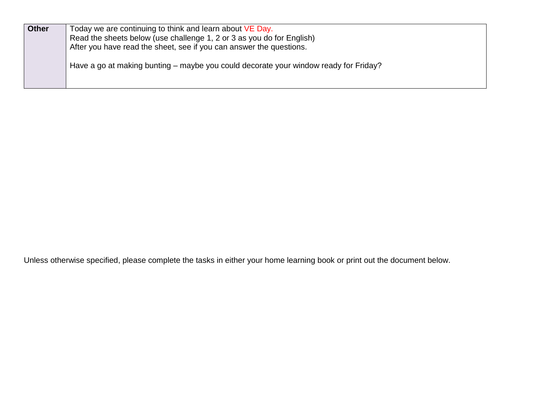| <b>Other</b> | Today we are continuing to think and learn about VE Day.<br>Read the sheets below (use challenge 1, 2 or 3 as you do for English)<br>After you have read the sheet, see if you can answer the questions. |
|--------------|----------------------------------------------------------------------------------------------------------------------------------------------------------------------------------------------------------|
|              | Have a go at making bunting – maybe you could decorate your window ready for Friday?                                                                                                                     |

Unless otherwise specified, please complete the tasks in either your home learning book or print out the document below.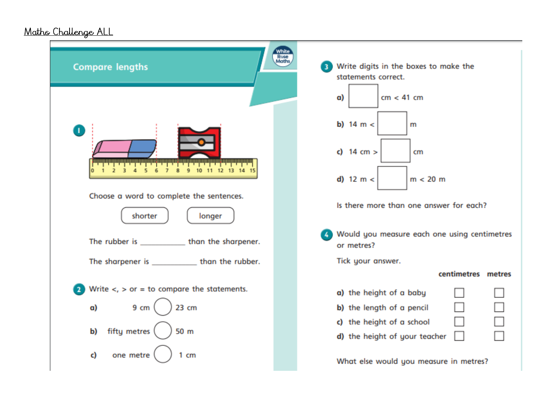### Maths Challenge ALL

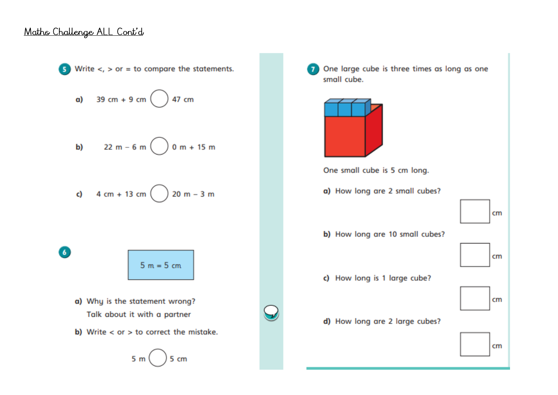#### Maths Challenge ALL Cont'd



One large cube is three times as long as one small cube. One small cube is 5 cm long. a) How long are 2 small cubes?  $cm$ b) How long are 10 small cubes?  $cm$ c) How long is 1 large cube?  $cm$ d) How long are 2 large cubes?  $cm$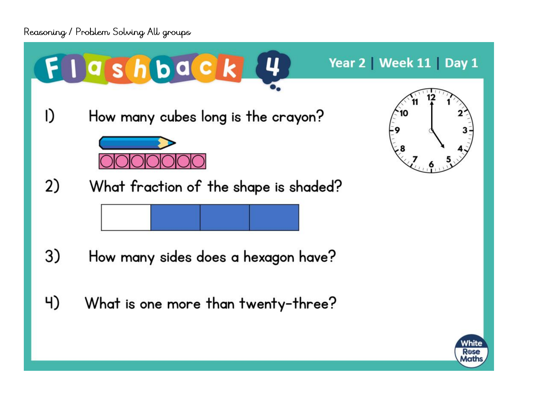

Rose Maths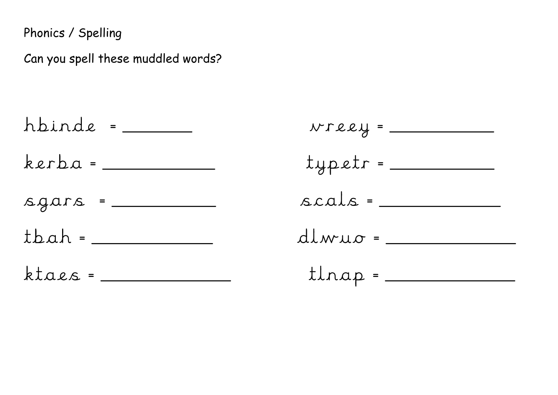Phonics / Spelling

Can you spell these muddled words?

hbinde = \_\_\_\_  $kerba =$  $square = _______$  $t$ bah =  $\frac{1}{t}$  $ktacs =$ 

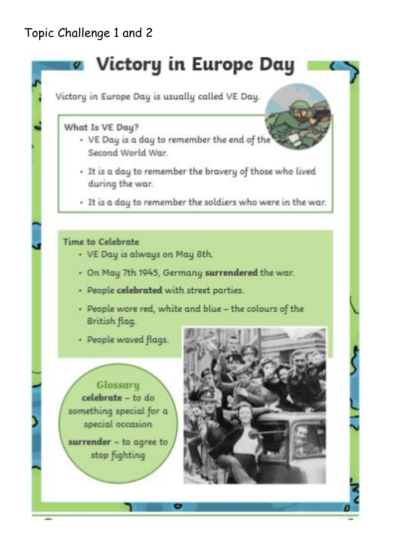## Topic Challenge 1 and 2

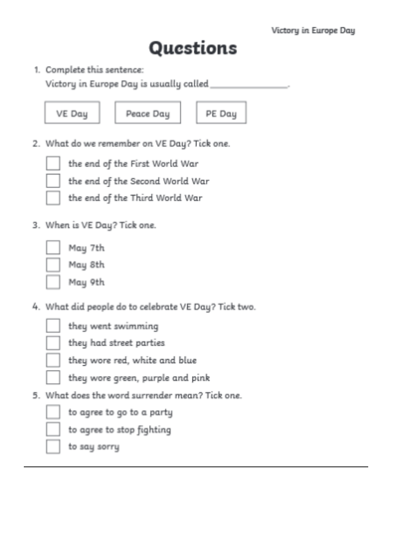## Questions

1. Complete this sentence:

Victory in Europe Day is usually called.

VE Day

Peace Day

PE Day

2. What do we remember on VE Day? Tick one.



the end of the First World War

the end of the Second World War

the end of the Third World War

3. When is VE Day? Tick one.

May 7th May 8th May 9th

4. What did people do to celebrate VE Day? Tick two.

they went swimming

they had street parties

they wore red, white and blue

they wore green, purple and pink

5. What does the word surrender mean? Tick one.

to agree to go to a party

to agree to stop fighting

to say sorry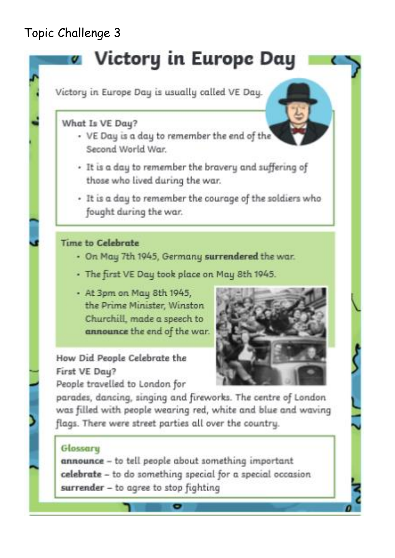## Topic Challenge 3

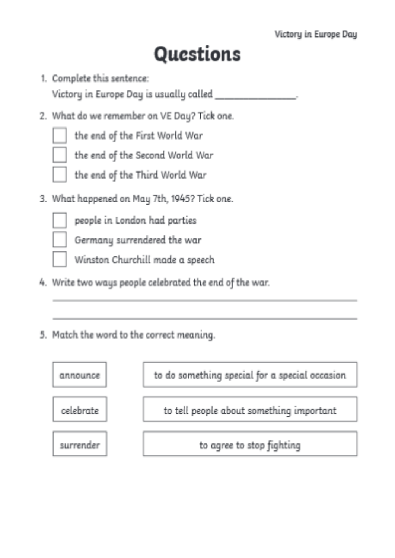# Questions

1. Complete this sentence:

Victory in Europe Day is usually called \_

2. What do we remember on VE Day? Tick one.

the end of the First World War

the end of the Second World War

the end of the Third World War

3. What happened on May 7th, 1945? Tick one.

people in London had parties

Germany surrendered the war

Winston Churchill made a speech

- 4. Write two ways people celebrated the end of the war.
- 5. Match the word to the correct meaning.